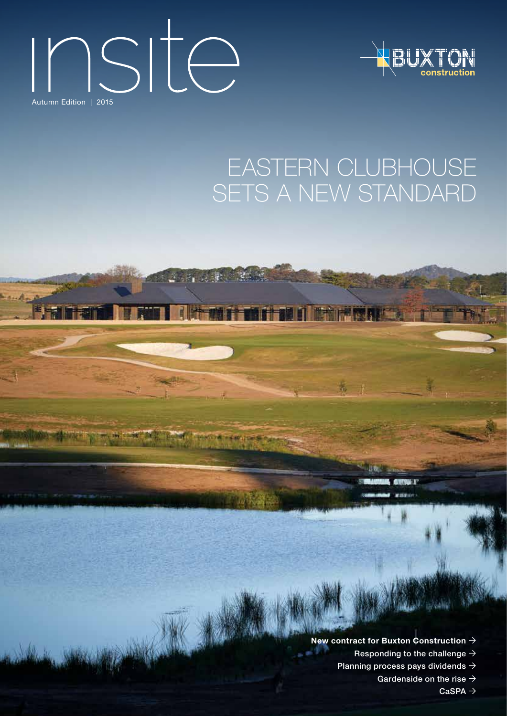# $\sum_{\text{Autumn Edition } 1\text{ 2015}}$



### Eastern clubhouse SETS A NEW STANDARD

**New contract for Buxton Construction** Responding to the challenge  $\rightarrow$ Planning process pays dividends  $\rightarrow$ 

**GALLATTI** T.

Gardenside on the rise  $\rightarrow$ 

 $CaSPA$   $\rightarrow$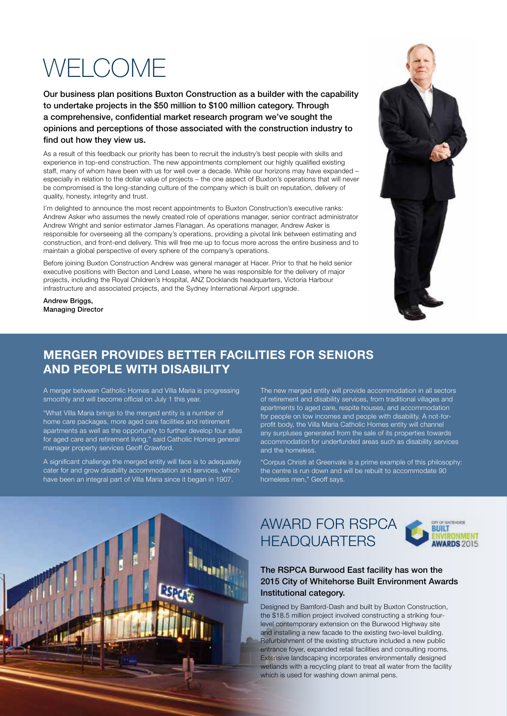### WEI COME

Our business plan positions Buxton Construction as a builder with the capability to undertake projects in the \$50 million to \$100 million category. Through a comprehensive, confidential market research program we've sought the opinions and perceptions of those associated with the construction industry to find out how they view us.

As a result of this feedback our priority has been to recruit the industry's best people with skills and experience in top-end construction. The new appointments complement our highly qualified existing staff, many of whom have been with us for well over a decade. While our horizons may have expanded – especially in relation to the dollar value of projects – the one aspect of Buxton's operations that will never be compromised is the long-standing culture of the company which is built on reputation, delivery of quality, honesty, integrity and trust.

I'm delighted to announce the most recent appointments to Buxton Construction's executive ranks: Andrew Asker who assumes the newly created role of operations manager, senior contract administrator Andrew Wright and senior estimator James Flanagan. As operations manager, Andrew Asker is responsible for overseeing all the company's operations, providing a pivotal link between estimating and construction, and front-end delivery. This will free me up to focus more across the entire business and to maintain a global perspective of every sphere of the company's operations.

Before joining Buxton Construction Andrew was general manager at Hacer. Prior to that he held senior executive positions with Becton and Lend Lease, where he was responsible for the delivery of major projects, including the Royal Children's Hospital, ANZ Docklands headquarters, Victoria Harbour infrastructure and associated projects, and the Sydney International Airport upgrade.

Andrew Briggs, Managing Director



### **Merger provides better facilities for seniors and people with disability**

A merger between Catholic Homes and Villa Maria is progressing smoothly and will become official on July 1 this year.

"What Villa Maria brings to the merged entity is a number of home care packages, more aged care facilities and retirement apartments as well as the opportunity to further develop four sites for aged care and retirement living," said Catholic Homes general manager property services Geoff Crawford.

A significant challenge the merged entity will face is to adequately cater for and grow disability accommodation and services, which have been an integral part of Villa Maria since it began in 1907.

The new merged entity will provide accommodation in all sectors of retirement and disability services, from traditional villages and apartments to aged care, respite houses, and accommodation for people on low incomes and people with disability. A not-forprofit body, the Villa Maria Catholic Homes entity will channel any surpluses generated from the sale of its properties towards accommodation for underfunded areas such as disability services and the homeless.

"Corpus Christi at Greenvale is a prime example of this philosophy: the centre is run down and will be rebuilt to accommodate 90 homeless men," Geoff says.



Award for RSPCA **HEADQUARTERS** 



#### The RSPCA Burwood East facility has won the 2015 City of Whitehorse Built Environment Awards Institutional category.

Designed by Bamford-Dash and built by Buxton Construction, the \$18.5 million project involved constructing a striking fourlevel contemporary extension on the Burwood Highway site and installing a new facade to the existing two-level building. Refurbishment of the existing structure included a new public entrance foyer, expanded retail facilities and consulting rooms. Extensive landscaping incorporates environmentally designed wetlands with a recycling plant to treat all water from the facility which is used for washing down animal pens.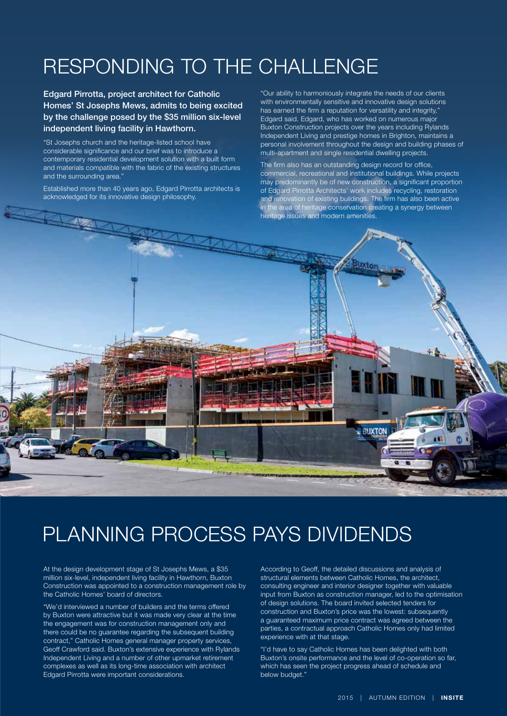### Responding to the challenge

Edgard Pirrotta, project architect for Catholic Homes' St Josephs Mews, admits to being excited by the challenge posed by the \$35 million six-level independent living facility in Hawthorn.

"St Josephs church and the heritage-listed school have considerable significance and our brief was to introduce a contemporary residential development solution with a built form and materials compatible with the fabric of the existing structures and the surrounding area."

Established more than 40 years ago, Edgard Pirrotta architects is acknowledged for its innovative design philosophy.

"Our ability to harmoniously integrate the needs of our clients with environmentally sensitive and innovative design solutions has earned the firm a reputation for versatility and integrity.' Edgard said. Edgard, who has worked on numerous major Buxton Construction projects over the years including Rylands Independent Living and prestige homes in Brighton, maintains a personal involvement throughout the design and building phases of multi-apartment and single residential dwelling projects.

The firm also has an outstanding design record for office, commercial, recreational and institutional buildings. While projects may predominantly be of new construction, a significant proportion of Edgard Pirrotta Architects' work includes recycling, restoration and renovation of existing buildings. The firm has also been active in the area of heritage conservation creating a synergy between heritage issues and modern amenities.



### Planning process pays dividends

At the design development stage of St Josephs Mews, a \$35 million six-level, independent living facility in Hawthorn, Buxton Construction was appointed to a construction management role by the Catholic Homes' board of directors.

"We'd interviewed a number of builders and the terms offered by Buxton were attractive but it was made very clear at the time the engagement was for construction management only and there could be no guarantee regarding the subsequent building contract," Catholic Homes general manager property services, Geoff Crawford said. Buxton's extensive experience with Rylands Independent Living and a number of other upmarket retirement complexes as well as its long-time association with architect Edgard Pirrotta were important considerations.

According to Geoff, the detailed discussions and analysis of structural elements between Catholic Homes, the architect, consulting engineer and interior designer together with valuable input from Buxton as construction manager, led to the optimisation of design solutions. The board invited selected tenders for construction and Buxton's price was the lowest: subsequently a guaranteed maximum price contract was agreed between the parties, a contractual approach Catholic Homes only had limited experience with at that stage.

"I'd have to say Catholic Homes has been delighted with both Buxton's onsite performance and the level of co-operation so far, which has seen the project progress ahead of schedule and below budget."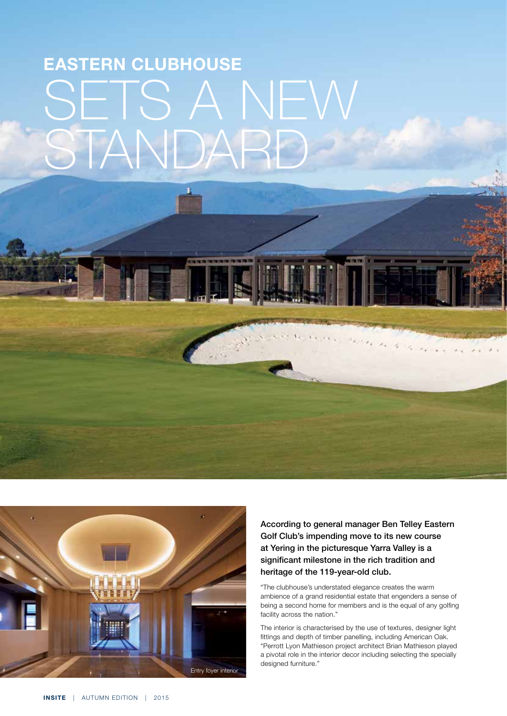## **Eastern clubhouse**  SETS A NEW standard



According to general manager Ben Telley Eastern Golf Club's impending move to its new course at Yering in the picturesque Yarra Valley is a significant milestone in the rich tradition and heritage of the 119-year-old club.

"The clubhouse's understated elegance creates the warm ambience of a grand residential estate that engenders a sense of being a second home for members and is the equal of any golfing facility across the nation."

The interior is characterised by the use of textures, designer light fittings and depth of timber panelling, including American Oak. "Perrott Lyon Mathieson project architect Brian Mathieson played a pivotal role in the interior decor including selecting the specially designed furniture."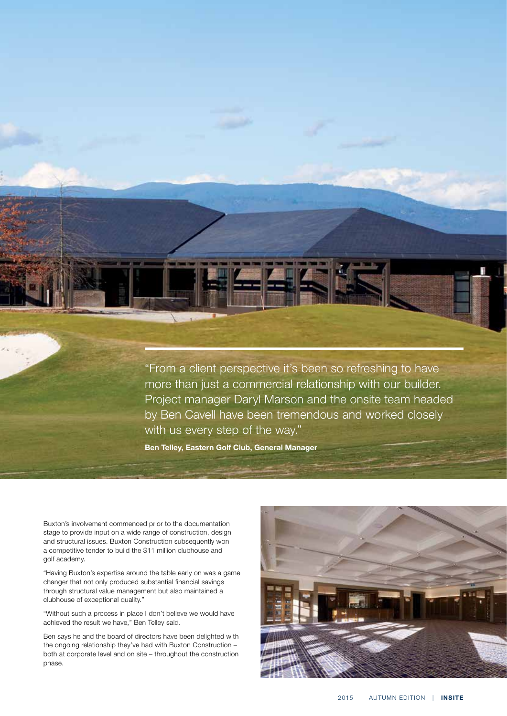"From a client perspective it's been so refreshing to have more than just a commercial relationship with our builder. Project manager Daryl Marson and the onsite team headed by Ben Cavell have been tremendous and worked closely with us every step of the way."

**Ben Telley, Eastern Golf Club, General Manager** 

Buxton's involvement commenced prior to the documentation stage to provide input on a wide range of construction, design and structural issues. Buxton Construction subsequently won a competitive tender to build the \$11 million clubhouse and golf academy.

"Having Buxton's expertise around the table early on was a game changer that not only produced substantial financial savings through structural value management but also maintained a clubhouse of exceptional quality."

"Without such a process in place I don't believe we would have achieved the result we have," Ben Telley said.

Ben says he and the board of directors have been delighted with the ongoing relationship they've had with Buxton Construction – both at corporate level and on site – throughout the construction phase.

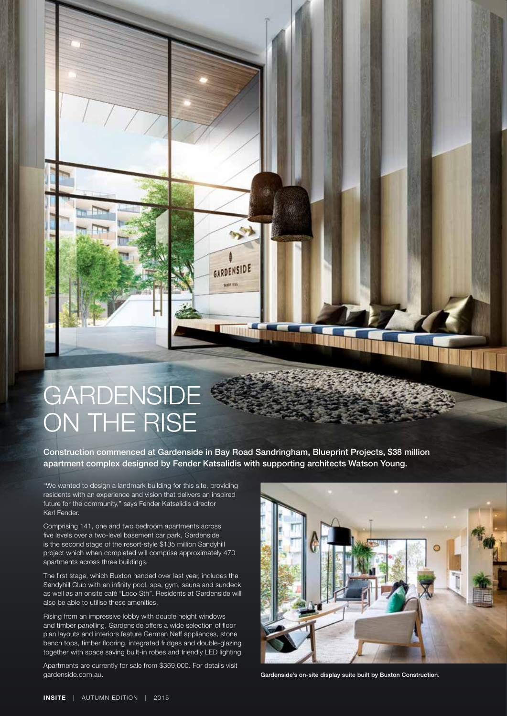### **GARDENSIDE** ON THE RISE

Construction commenced at Gardenside in Bay Road Sandringham, Blueprint Projects, \$38 million apartment complex designed by Fender Katsalidis with supporting architects Watson Young.

GARDENSIDE <u>um 19</u>

residents with an experience and vision that delivers an inspired future for the community," says Fender Katsalidis director Karl Fender.

Comprising 141, one and two bedroom apartments across five levels over a two-level basement car park, Gardenside is the second stage of the resort-style \$135 million Sandyhill project which when completed will comprise approximately 470 **apartments across three buildings.** 

The first stage, which Buxton handed over last year, includes the Sandyhill Club with an infinity pool, spa, gym, sauna and sundeck as well as an onsite café "Loco Sth". Residents at Gardenside will also be able to utilise these amenities.

"We wanted to design a landmark building for this site, providing<br>residents with an experience and vision that delivers an inspired<br>future for the community," says Fender Katsalidis director<br>Karl Fender.<br>Comprising 141, on Rising from an impressive lobby with double height windows and timber panelling, Gardenside offers a wide selection of floor plan layouts and interiors feature German Neff appliances, stone bench tops, timber flooring, integrated fridges and double-glazing together with space saving built-in robes and friendly LED lighting.

Apartments are currently for sale from \$369,000. For details visit gardenside.com.au.



Gardenside's on-site display suite built by Buxton Construction.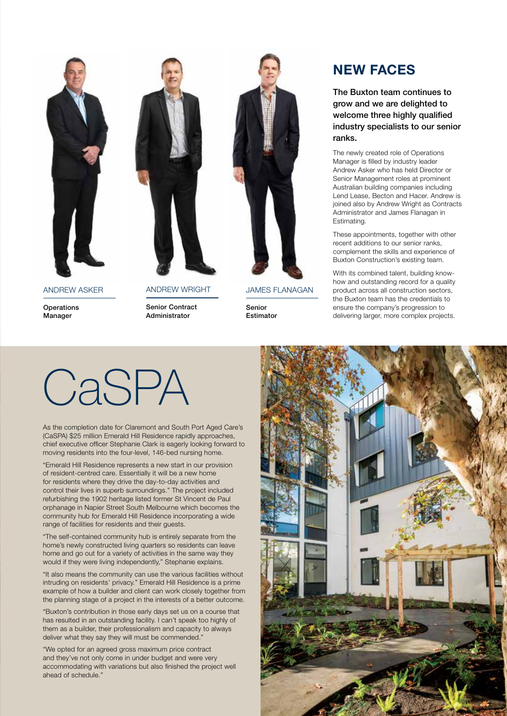Andrew Asker

**Operations** Manager



**ANDREW WRIGHT** 

Senior Contract Administrator



James Flanagan

Senior Estimator

### **New faces**

The Buxton team continues to grow and we are delighted to welcome three highly qualified industry specialists to our senior ranks.

The newly created role of Operations Manager is filled by industry leader Andrew Asker who has held Director or Senior Management roles at prominent Australian building companies including Lend Lease, Becton and Hacer. Andrew is joined also by Andrew Wright as Contracts Administrator and James Flanagan in Estimating.

These appointments, together with other recent additions to our senior ranks, complement the skills and experience of Buxton Construction's existing team.

With its combined talent, building knowhow and outstanding record for a quality product across all construction sectors, the Buxton team has the credentials to ensure the company's progression to delivering larger, more complex projects.

# **CaSPA**

As the completion date for Claremont and South Port Aged Care's (CaSPA) \$25 million Emerald Hill Residence rapidly approaches, chief executive officer Stephanie Clark is eagerly looking forward to moving residents into the four-level, 146-bed nursing home.

"Emerald Hill Residence represents a new start in our provision of resident-centred care. Essentially it will be a new home for residents where they drive the day-to-day activities and control their lives in superb surroundings." The project included refurbishing the 1902 heritage listed former St Vincent de Paul orphanage in Napier Street South Melbourne which becomes the community hub for Emerald Hill Residence incorporating a wide range of facilities for residents and their guests.

"The self-contained community hub is entirely separate from the home's newly constructed living quarters so residents can leave home and go out for a variety of activities in the same way they would if they were living independently," Stephanie explains.

"It also means the community can use the various facilities without intruding on residents' privacy." Emerald Hill Residence is a prime example of how a builder and client can work closely together from the planning stage of a project in the interests of a better outcome.

"Buxton's contribution in those early days set us on a course that has resulted in an outstanding facility. I can't speak too highly of them as a builder, their professionalism and capacity to always deliver what they say they will must be commended."

"We opted for an agreed gross maximum price contract and they've not only come in under budget and were very accommodating with variations but also finished the project well ahead of schedule."